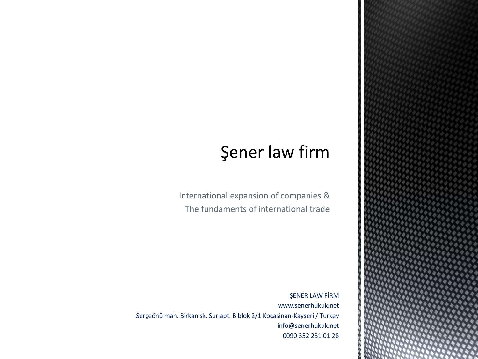## **Şener law firm**

International expansion of companies & The fundaments of international trade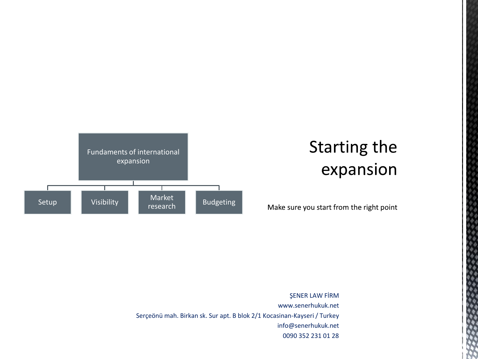

# **Starting the** expansion

ō

Make sure you start from the right point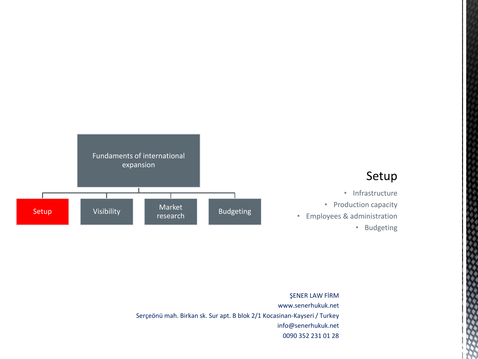

ŞENER LAW FİRM www.senerhukuk.net Serçeönü mah. Birkan sk. Sur apt. B blok 2/1 Kocasinan-Kayseri / Turkey info@senerhukuk.net 0090 352 231 01 28  $\Phi_4$ 

きんきょう じゅうきょうしゅう きょうきゅう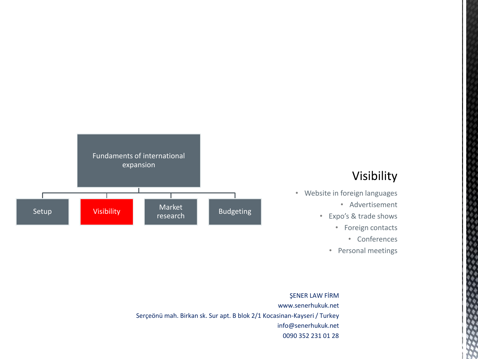

### Visibility

- Website in foreign languages
	- Advertisement
	- Expo's & trade shows
		- Foreign contacts
			- Conferences

٠

• Personal meetings

### www.senerhukuk.net Serçeönü mah. Birkan sk. Sur apt. B blok 2/1 Kocasinan-Kayseri / Turkey info@senerhukuk.net 0090 352 231 01 28

#### ŞENER LAW FİRM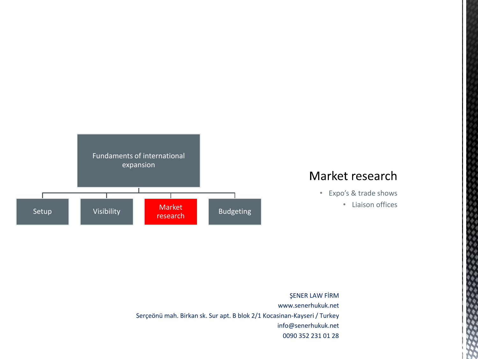

### Market research

- Expo's & trade shows
	- Liaison offices

ò ۲ø

きょうちょう ちょうきん きんこう

www.senerhukuk.net Serçeönü mah. Birkan sk. Sur apt. B blok 2/1 Kocasinan-Kayseri / Turkey info@senerhukuk.net 0090 352 231 01 28

#### ŞENER LAW FİRM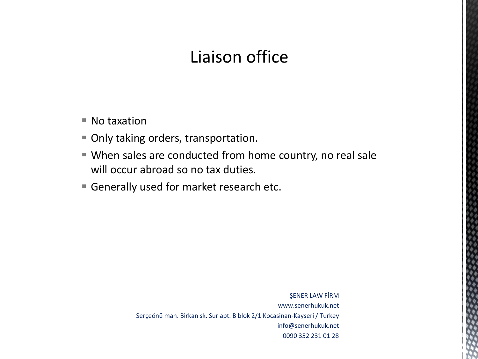## Liaison office

- $\blacksquare$  No taxation
- Only taking orders, transportation.
- When sales are conducted from home country, no real sale will occur abroad so no tax duties.
- Generally used for market research etc.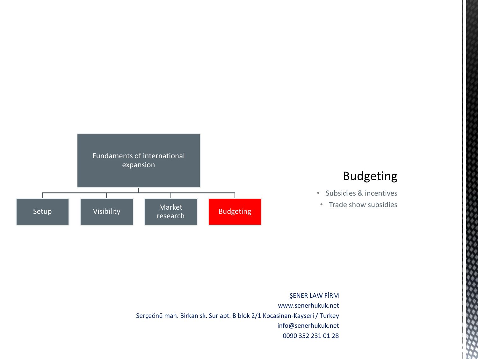

### **Budgeting**

٠ ۰

- Subsidies & incentives
- Trade show subsidies

www.senerhukuk.net Serçeönü mah. Birkan sk. Sur apt. B blok 2/1 Kocasinan-Kayseri / Turkey info@senerhukuk.net 0090 352 231 01 28

#### ŞENER LAW FİRM